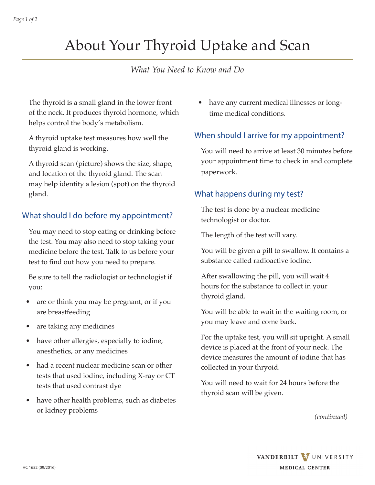# About Your Thyroid Uptake and Scan

## *What You Need to Know and Do*

The thyroid is a small gland in the lower front of the neck. It produces thyroid hormone, which helps control the body's metabolism.

A thyroid uptake test measures how well the thyroid gland is working.

A thyroid scan (picture) shows the size, shape, and location of the thyroid gland. The scan may help identity a lesion (spot) on the thyroid gland.

### What should I do before my appointment?

You may need to stop eating or drinking before the test. You may also need to stop taking your medicine before the test. Talk to us before your test to find out how you need to prepare.

Be sure to tell the radiologist or technologist if you:

- are or think you may be pregnant, or if you are breastfeeding
- are taking any medicines
- have other allergies, especially to iodine, anesthetics, or any medicines
- had a recent nuclear medicine scan or other tests that used iodine, including X-ray or CT tests that used contrast dye
- have other health problems, such as diabetes or kidney problems

have any current medical illnesses or longtime medical conditions.

### When should I arrive for my appointment?

You will need to arrive at least 30 minutes before your appointment time to check in and complete paperwork.

#### What happens during my test?

The test is done by a nuclear medicine technologist or doctor.

The length of the test will vary.

You will be given a pill to swallow. It contains a substance called radioactive iodine.

After swallowing the pill, you will wait 4 hours for the substance to collect in your thyroid gland.

You will be able to wait in the waiting room, or you may leave and come back.

For the uptake test, you will sit upright. A small device is placed at the front of your neck. The device measures the amount of iodine that has collected in your thryoid.

You will need to wait for 24 hours before the thyroid scan will be given.

*(continued)*